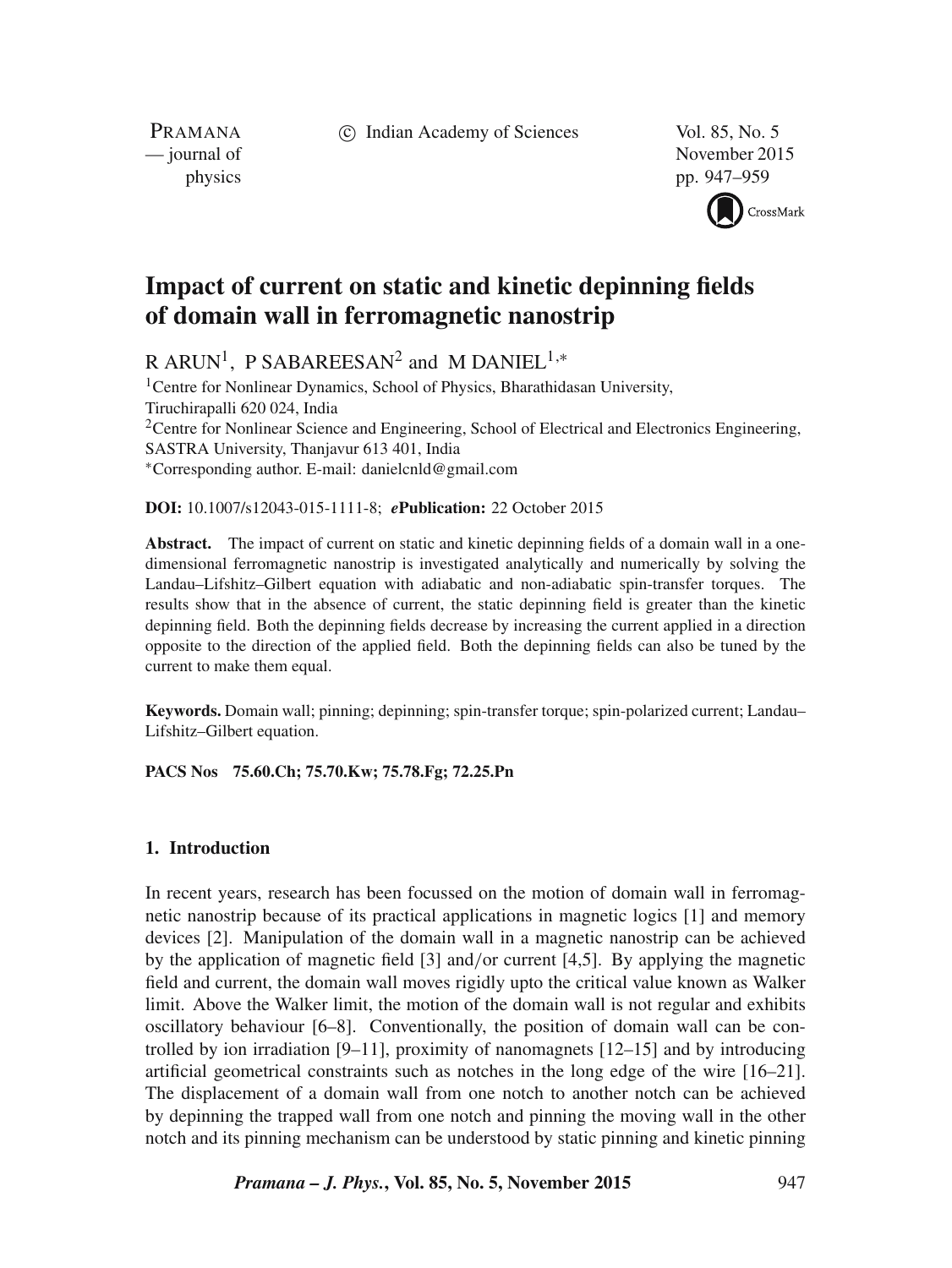c Indian Academy of Sciences Vol. 85, No. 5

PRAMANA<br>
— journal of

November 2015 physics pp. 947–959



# **Impact of current on static and kinetic depinning fields of domain wall in ferromagnetic nanostrip**

R ARUN<sup>1</sup>, P SABAREESAN<sup>2</sup> and M DANIEL<sup>1,\*</sup>

<sup>1</sup> Centre for Nonlinear Dynamics, School of Physics, Bharathidasan University, Tiruchirapalli 620 024, India <sup>2</sup>Centre for Nonlinear Science and Engineering, School of Electrical and Electronics Engineering, SASTRA University, Thanjavur 613 401, India ∗Corresponding author. E-mail: danielcnld@gmail.com

# **DOI:** 10.1007/s12043-015-1111-8; *e***Publication:** 22 October 2015

**Abstract.** The impact of current on static and kinetic depinning fields of a domain wall in a onedimensional ferromagnetic nanostrip is investigated analytically and numerically by solving the Landau–Lifshitz–Gilbert equation with adiabatic and non-adiabatic spin-transfer torques. The results show that in the absence of current, the static depinning field is greater than the kinetic depinning field. Both the depinning fields decrease by increasing the current applied in a direction opposite to the direction of the applied field. Both the depinning fields can also be tuned by the current to make them equal.

**Keywords.** Domain wall; pinning; depinning; spin-transfer torque; spin-polarized current; Landau– Lifshitz–Gilbert equation.

**PACS Nos 75.60.Ch; 75.70.Kw; 75.78.Fg; 72.25.Pn**

# **1. Introduction**

In recent years, research has been focussed on the motion of domain wall in ferromagnetic nanostrip because of its practical applications in magnetic logics [1] and memory devices [2]. Manipulation of the domain wall in a magnetic nanostrip can be achieved by the application of magnetic field [3] and/or current [4,5]. By applying the magnetic field and current, the domain wall moves rigidly upto the critical value known as Walker limit. Above the Walker limit, the motion of the domain wall is not regular and exhibits oscillatory behaviour [6–8]. Conventionally, the position of domain wall can be controlled by ion irradiation  $[9-11]$ , proximity of nanomagnets  $[12-15]$  and by introducing artificial geometrical constraints such as notches in the long edge of the wire [16–21]. The displacement of a domain wall from one notch to another notch can be achieved by depinning the trapped wall from one notch and pinning the moving wall in the other notch and its pinning mechanism can be understood by static pinning and kinetic pinning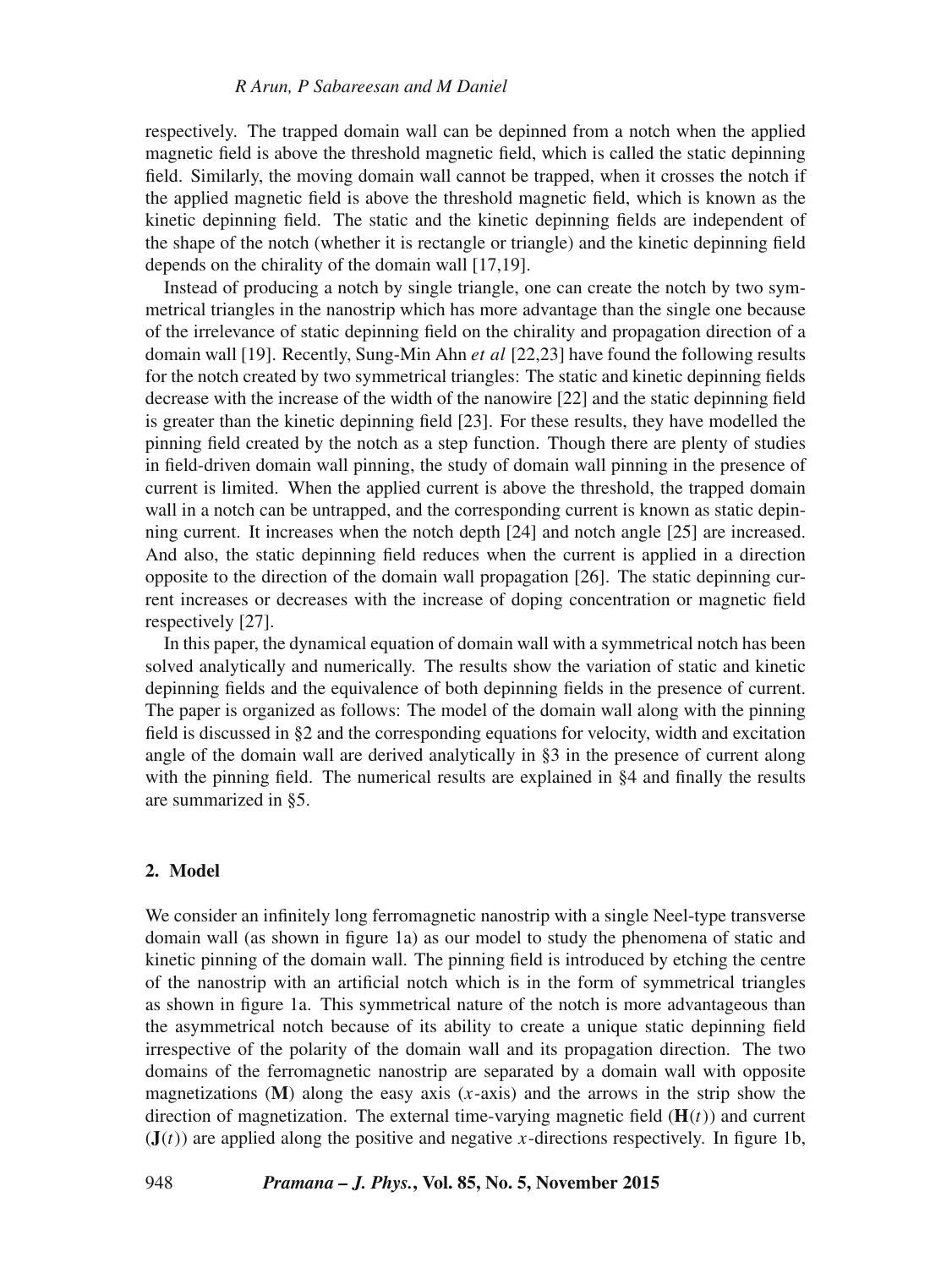## *R Arun, P Sabareesan and M Daniel*

respectively. The trapped domain wall can be depinned from a notch when the applied magnetic field is above the threshold magnetic field, which is called the static depinning field. Similarly, the moving domain wall cannot be trapped, when it crosses the notch if the applied magnetic field is above the threshold magnetic field, which is known as the kinetic depinning field. The static and the kinetic depinning fields are independent of the shape of the notch (whether it is rectangle or triangle) and the kinetic depinning field depends on the chirality of the domain wall [17,19].

Instead of producing a notch by single triangle, one can create the notch by two symmetrical triangles in the nanostrip which has more advantage than the single one because of the irrelevance of static depinning field on the chirality and propagation direction of a domain wall [19]. Recently, Sung-Min Ahn et al [22,23] have found the following results for the notch created by two symmetrical triangles: The static and kinetic depinning fields decrease with the increase of the width of the nanowire [22] and the static depinning field is greater than the kinetic depinning field [23]. For these results, they have modelled the pinning field created by the notch as a step function. Though there are plenty of studies in field-driven domain wall pinning, the study of domain wall pinning in the presence of current is limited. When the applied current is above the threshold, the trapped domain wall in a notch can be untrapped, and the corresponding current is known as static depinning current. It increases when the notch depth [24] and notch angle [25] are increased. And also, the static depinning field reduces when the current is applied in a direction opposite to the direction of the domain wall propagation [26]. The static depinning current increases or decreases with the increase of doping concentration or magnetic field respectively [27].

In this paper, the dynamical equation of domain wall with a symmetrical notch has been solved analytically and numerically. The results show the variation of static and kinetic depinning fields and the equivalence of both depinning fields in the presence of current. The paper is organized as follows: The model of the domain wall along with the pinning field is discussed in §2 and the corresponding equations for velocity, width and excitation angle of the domain wall are derived analytically in §3 in the presence of current along with the pinning field. The numerical results are explained in  $\S 4$  and finally the results are summarized in §5.

# **2. Model**

We consider an infinitely long ferromagnetic nanostrip with a single Neel-type transverse domain wall (as shown in figure 1a) as our model to study the phenomena of static and kinetic pinning of the domain wall. The pinning field is introduced by etching the centre of the nanostrip with an artificial notch which is in the form of symmetrical triangles as shown in figure 1a. This symmetrical nature of the notch is more advantageous than the asymmetrical notch because of its ability to create a unique static depinning field irrespective of the polarity of the domain wall and its propagation direction. The two domains of the ferromagnetic nanostrip are separated by a domain wall with opposite magnetizations  $(M)$  along the easy axis  $(x-axis)$  and the arrows in the strip show the direction of magnetization. The external time-varying magnetic field  $(H(t))$  and current  $J(t)$  are applied along the positive and negative x-directions respectively. In figure 1b,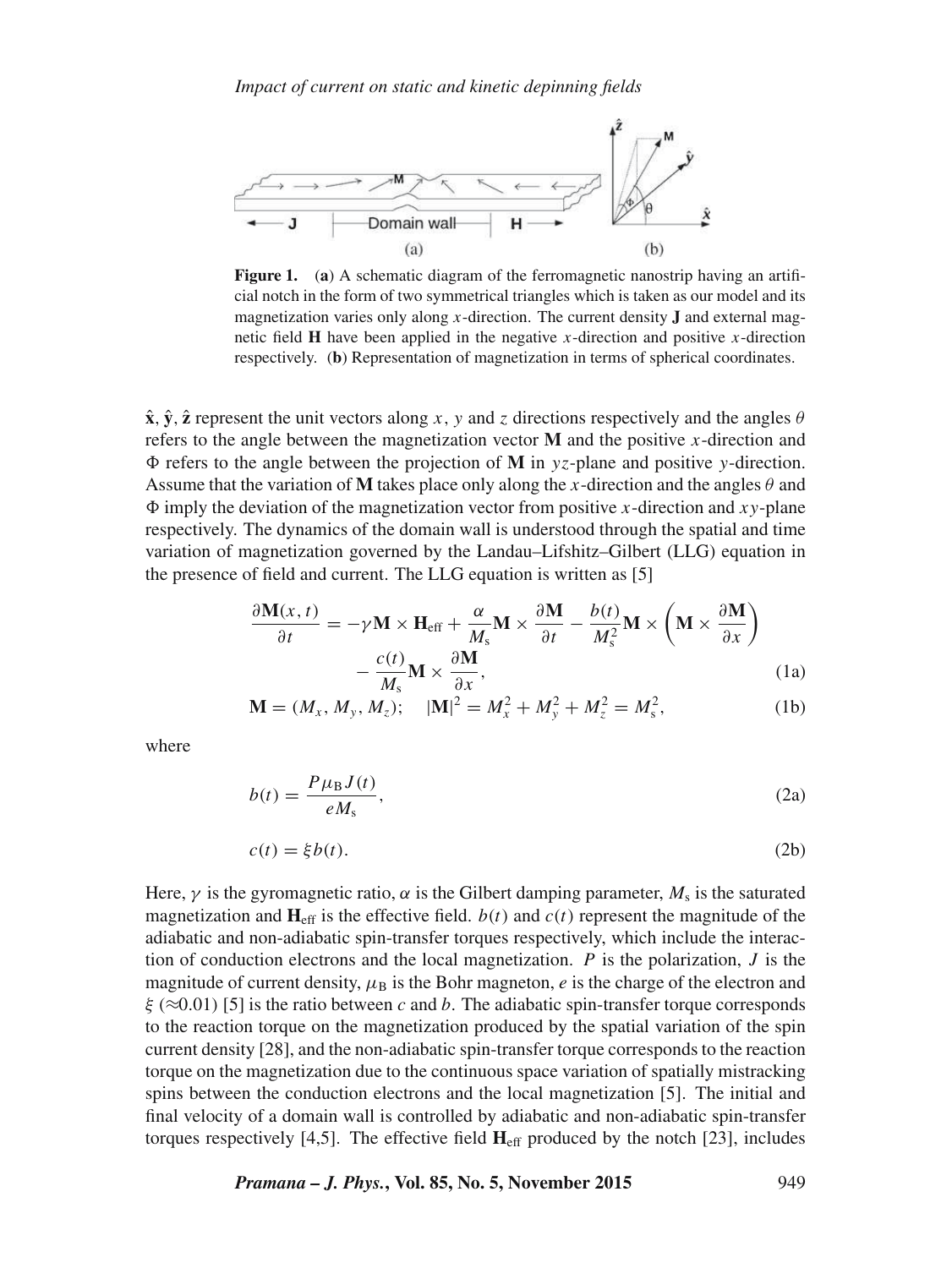

**Figure 1.** (**a**) A schematic diagram of the ferromagnetic nanostrip having an artificial notch in the form of two symmetrical triangles which is taken as our model and its magnetization varies only along x-direction. The current density **J** and external magnetic field **H** have been applied in the negative x-direction and positive x-direction respectively. (**b**) Representation of magnetization in terms of spherical coordinates.

 $\hat{\mathbf{x}}$ ,  $\hat{\mathbf{y}}$ ,  $\hat{\mathbf{z}}$  represent the unit vectors along x, y and z directions respectively and the angles  $\theta$ refers to the angle between the magnetization vector  **and the positive x-direction and**  $\Phi$  refers to the angle between the projection of **M** in  $yz$ -plane and positive y-direction. Assume that the variation of **M** takes place only along the x-direction and the angles  $\theta$  and  $\Phi$  imply the deviation of the magnetization vector from positive x-direction and xy-plane respectively. The dynamics of the domain wall is understood through the spatial and time variation of magnetization governed by the Landau–Lifshitz–Gilbert (LLG) equation in the presence of field and current. The LLG equation is written as [5]

$$
\frac{\partial \mathbf{M}(x,t)}{\partial t} = -\gamma \mathbf{M} \times \mathbf{H}_{\text{eff}} + \frac{\alpha}{M_s} \mathbf{M} \times \frac{\partial \mathbf{M}}{\partial t} - \frac{b(t)}{M_s^2} \mathbf{M} \times \left( \mathbf{M} \times \frac{\partial \mathbf{M}}{\partial x} \right) - \frac{c(t)}{M_s} \mathbf{M} \times \frac{\partial \mathbf{M}}{\partial x},
$$
\n(1a)

$$
\mathbf{M} = (M_x, M_y, M_z); \quad |\mathbf{M}|^2 = M_x^2 + M_y^2 + M_z^2 = M_s^2,
$$
 (1b)

where

$$
b(t) = \frac{P\mu_B J(t)}{eM_s},\tag{2a}
$$

$$
c(t) = \xi b(t). \tag{2b}
$$

Here,  $\gamma$  is the gyromagnetic ratio,  $\alpha$  is the Gilbert damping parameter,  $M_s$  is the saturated magnetization and  $\mathbf{H}_{\text{eff}}$  is the effective field.  $b(t)$  and  $c(t)$  represent the magnitude of the adiabatic and non-adiabatic spin-transfer torques respectively, which include the interaction of conduction electrons and the local magnetization.  $P$  is the polarization,  $J$  is the magnitude of current density,  $\mu_B$  is the Bohr magneton, e is the charge of the electron and  $ξ$  ( $≈0.01$ ) [5] is the ratio between c and b. The adiabatic spin-transfer torque corresponds to the reaction torque on the magnetization produced by the spatial variation of the spin current density [28], and the non-adiabatic spin-transfer torque corresponds to the reaction torque on the magnetization due to the continuous space variation of spatially mistracking spins between the conduction electrons and the local magnetization [5]. The initial and final velocity of a domain wall is controlled by adiabatic and non-adiabatic spin-transfer torques respectively [4,5]. The effective field  $H<sub>eff</sub>$  produced by the notch [23], includes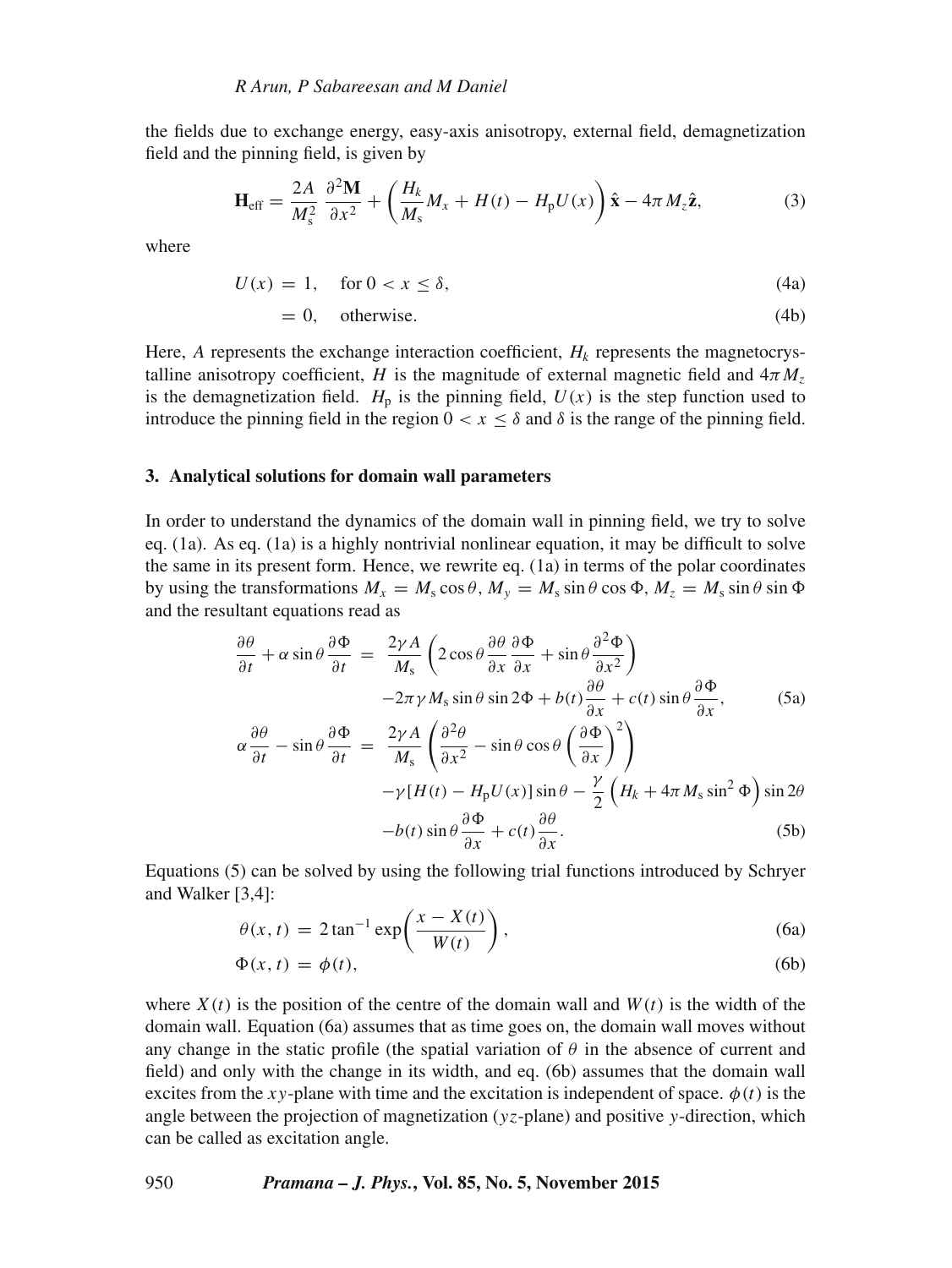the fields due to exchange energy, easy-axis anisotropy, external field, demagnetization field and the pinning field, is given by

$$
\mathbf{H}_{\rm eff} = \frac{2A}{M_s^2} \frac{\partial^2 \mathbf{M}}{\partial x^2} + \left( \frac{H_k}{M_s} M_x + H(t) - H_p U(x) \right) \hat{\mathbf{x}} - 4\pi M_z \hat{\mathbf{z}},\tag{3}
$$

where

$$
U(x) = 1, \quad \text{for } 0 < x \le \delta,\tag{4a}
$$

$$
= 0, \quad \text{otherwise.} \tag{4b}
$$

Here,  $A$  represents the exchange interaction coefficient,  $H_k$  represents the magnetocrystalline anisotropy coefficient, H is the magnitude of external magnetic field and  $4\pi M_z$ is the demagnetization field.  $H<sub>p</sub>$  is the pinning field,  $U(x)$  is the step function used to introduce the pinning field in the region  $0 < x \leq \delta$  and  $\delta$  is the range of the pinning field.

#### **3. Analytical solutions for domain wall parameters**

In order to understand the dynamics of the domain wall in pinning field, we try to solve eq. (1a). As eq. (1a) is a highly nontrivial nonlinear equation, it may be difficult to solve the same in its present form. Hence, we rewrite eq. (1a) in terms of the polar coordinates by using the transformations  $M_x = M_s \cos \theta$ ,  $M_y = M_s \sin \theta \cos \phi$ ,  $M_z = M_s \sin \theta \sin \phi$ and the resultant equations read as

$$
\frac{\partial \theta}{\partial t} + \alpha \sin \theta \frac{\partial \Phi}{\partial t} = \frac{2\gamma A}{M_s} \left( 2 \cos \theta \frac{\partial \theta}{\partial x} \frac{\partial \Phi}{\partial x} + \sin \theta \frac{\partial^2 \Phi}{\partial x^2} \right)
$$
  
\n
$$
-2\pi \gamma M_s \sin \theta \sin 2\Phi + b(t) \frac{\partial \theta}{\partial x} + c(t) \sin \theta \frac{\partial \Phi}{\partial x},
$$
(5a)  
\n
$$
\alpha \frac{\partial \theta}{\partial t} - \sin \theta \frac{\partial \Phi}{\partial t} = \frac{2\gamma A}{M_s} \left( \frac{\partial^2 \theta}{\partial x^2} - \sin \theta \cos \theta \left( \frac{\partial \Phi}{\partial x} \right)^2 \right)
$$
  
\n
$$
-\gamma [H(t) - H_p U(x)] \sin \theta - \frac{\gamma}{2} \left( H_k + 4\pi M_s \sin^2 \Phi \right) \sin 2\theta
$$
  
\n
$$
-b(t) \sin \theta \frac{\partial \Phi}{\partial x} + c(t) \frac{\partial \theta}{\partial x}.
$$
(5b)

Equations (5) can be solved by using the following trial functions introduced by Schryer and Walker [3,4]:

$$
\theta(x,t) = 2 \tan^{-1} \exp\left(\frac{x - X(t)}{W(t)}\right),\tag{6a}
$$

$$
\Phi(x,t) = \phi(t),\tag{6b}
$$

where  $X(t)$  is the position of the centre of the domain wall and  $W(t)$  is the width of the domain wall. Equation (6a) assumes that as time goes on, the domain wall moves without any change in the static profile (the spatial variation of  $\theta$  in the absence of current and field) and only with the change in its width, and eq. (6b) assumes that the domain wall excites from the xy-plane with time and the excitation is independent of space.  $\phi(t)$  is the angle between the projection of magnetization  $(yz$ -plane) and positive y-direction, which can be called as excitation angle.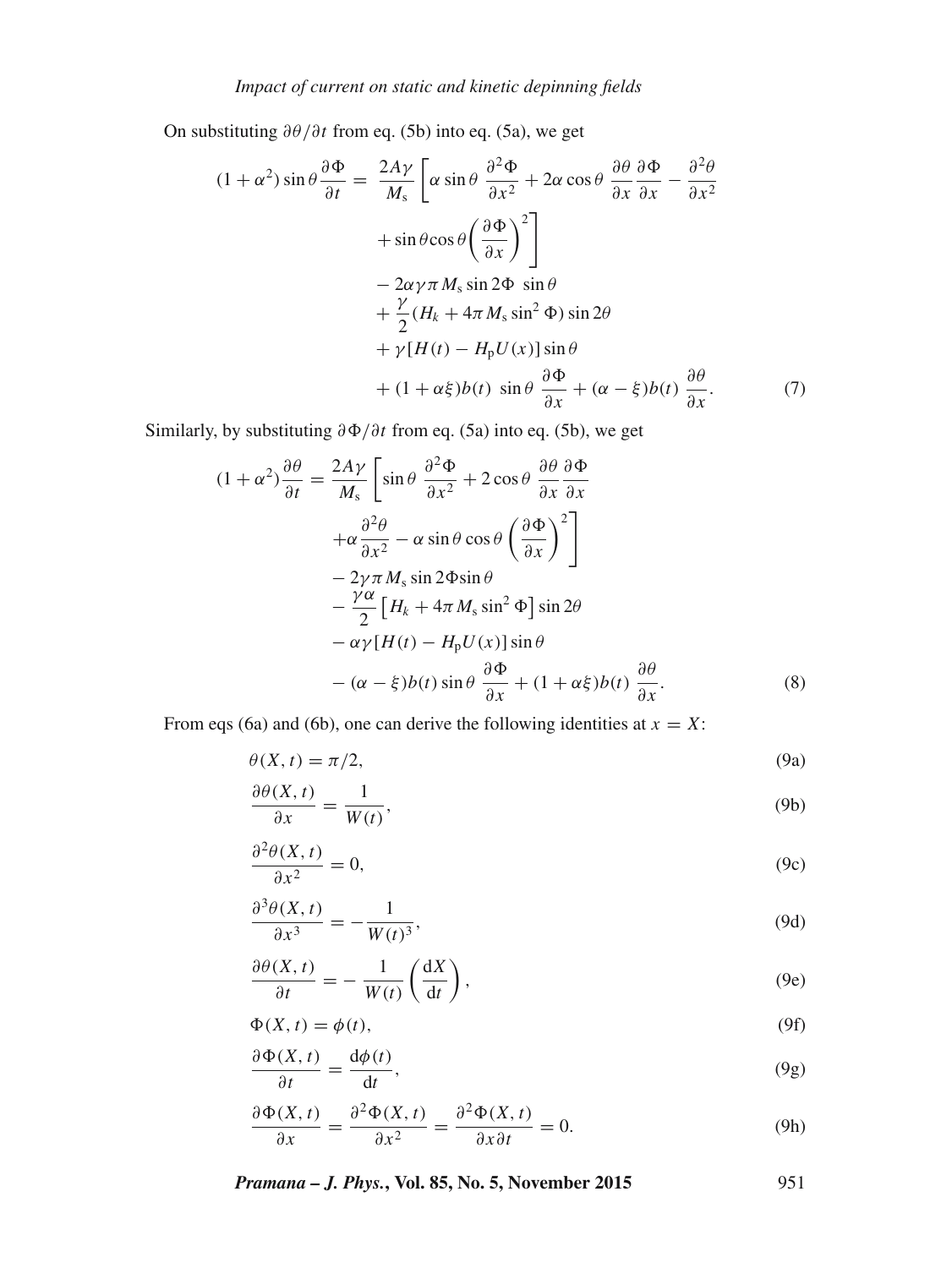On substituting  $\partial \theta / \partial t$  from eq. (5b) into eq. (5a), we get

$$
(1 + \alpha^2) \sin \theta \frac{\partial \Phi}{\partial t} = \frac{2A\gamma}{M_s} \left[ \alpha \sin \theta \frac{\partial^2 \Phi}{\partial x^2} + 2\alpha \cos \theta \frac{\partial \theta}{\partial x} \frac{\partial \Phi}{\partial x} - \frac{\partial^2 \theta}{\partial x^2} \right] + \sin \theta \cos \theta \left( \frac{\partial \Phi}{\partial x} \right)^2 \Bigg] - 2\alpha \gamma \pi M_s \sin 2\Phi \sin \theta + \frac{\gamma}{2} (H_k + 4\pi M_s \sin^2 \Phi) \sin 2\theta + \gamma [H(t) - H_p U(x)] \sin \theta + (1 + \alpha \xi) b(t) \sin \theta \frac{\partial \Phi}{\partial x} + (\alpha - \xi) b(t) \frac{\partial \theta}{\partial x}.
$$
 (7)

Similarly, by substituting  $\partial \Phi/\partial t$  from eq. (5a) into eq. (5b), we get

$$
(1 + \alpha^2) \frac{\partial \theta}{\partial t} = \frac{2A\gamma}{M_s} \left[ \sin \theta \frac{\partial^2 \Phi}{\partial x^2} + 2 \cos \theta \frac{\partial \theta}{\partial x} \frac{\partial \Phi}{\partial x} + \alpha \frac{\partial^2 \theta}{\partial x^2} - \alpha \sin \theta \cos \theta \left( \frac{\partial \Phi}{\partial x} \right)^2 \right] - 2\gamma \pi M_s \sin 2\Phi \sin \theta - \frac{\gamma \alpha}{2} \left[ H_k + 4\pi M_s \sin^2 \Phi \right] \sin 2\theta - \alpha \gamma [H(t) - H_p U(x)] \sin \theta - (\alpha - \xi) b(t) \sin \theta \frac{\partial \Phi}{\partial x} + (1 + \alpha \xi) b(t) \frac{\partial \theta}{\partial x}.
$$
 (8)

From eqs (6a) and (6b), one can derive the following identities at  $x = X$ :

$$
\theta(X,t) = \pi/2,\tag{9a}
$$

$$
\frac{\partial \theta(X,t)}{\partial x} = \frac{1}{W(t)},\tag{9b}
$$

$$
\frac{\partial^2 \theta(X,t)}{\partial x^2} = 0,\tag{9c}
$$

$$
\frac{\partial^3 \theta(X,t)}{\partial x^3} = -\frac{1}{W(t)^3},\tag{9d}
$$

$$
\frac{\partial \theta(X,t)}{\partial t} = -\frac{1}{W(t)} \left( \frac{dX}{dt} \right),\tag{9e}
$$

$$
\Phi(X,t) = \phi(t),\tag{9f}
$$

$$
\frac{\partial \Phi(X,t)}{\partial t} = \frac{\mathrm{d}\phi(t)}{\mathrm{d}t},\tag{9g}
$$

$$
\frac{\partial \Phi(X,t)}{\partial x} = \frac{\partial^2 \Phi(X,t)}{\partial x^2} = \frac{\partial^2 \Phi(X,t)}{\partial x \partial t} = 0.
$$
 (9h)

*Pramana – J. Phys.***, Vol. 85, No. 5, November 2015** 951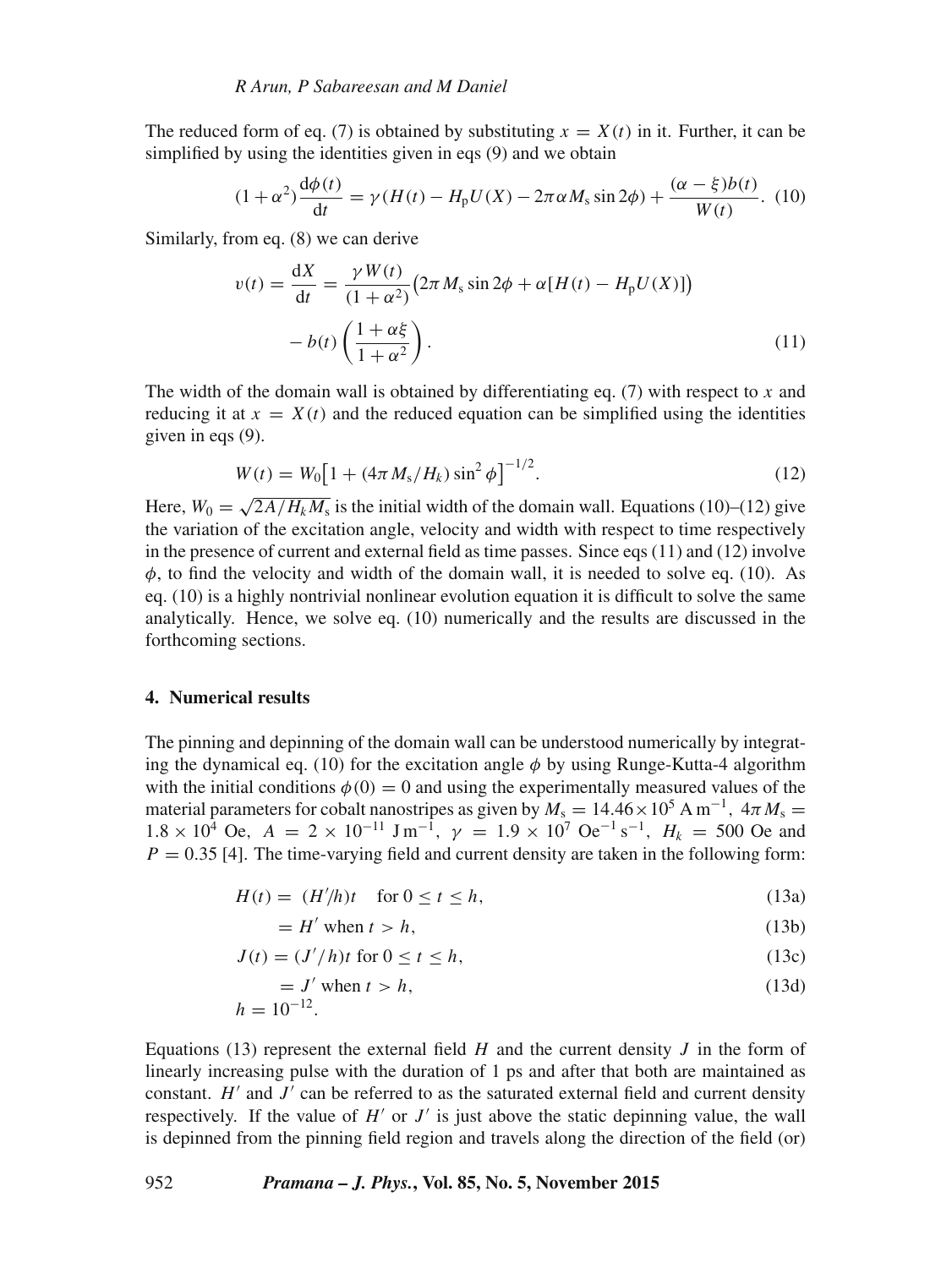The reduced form of eq. (7) is obtained by substituting  $x = X(t)$  in it. Further, it can be simplified by using the identities given in eqs (9) and we obtain

$$
(1+\alpha^2)\frac{d\phi(t)}{dt} = \gamma(H(t) - H_p U(X) - 2\pi\alpha M_s \sin 2\phi) + \frac{(\alpha-\xi)b(t)}{W(t)}.
$$
 (10)

Similarly, from eq. (8) we can derive

$$
v(t) = \frac{dX}{dt} = \frac{\gamma W(t)}{(1 + \alpha^2)} (2\pi M_s \sin 2\phi + \alpha [H(t) - H_p U(X)])
$$

$$
- b(t) \left(\frac{1 + \alpha \xi}{1 + \alpha^2}\right). \tag{11}
$$

The width of the domain wall is obtained by differentiating eq. (7) with respect to x and reducing it at  $x = X(t)$  and the reduced equation can be simplified using the identities given in eqs  $(9)$ .

$$
W(t) = W_0 \left[ 1 + (4\pi M_s / H_k) \sin^2 \phi \right]^{-1/2}.
$$
 (12)

Here,  $W_0 = \sqrt{\frac{2A}{H_k M_s}}$  is the initial width of the domain wall. Equations (10)–(12) give the variation of the excitation angle, velocity and width with respect to time respectively in the presence of current and external field as time passes. Since eqs (11) and (12) involve  $\phi$ , to find the velocity and width of the domain wall, it is needed to solve eq. (10). As eq. (10) is a highly nontrivial nonlinear evolution equation it is difficult to solve the same analytically. Hence, we solve eq. (10) numerically and the results are discussed in the forthcoming sections.

#### **4. Numerical results**

The pinning and depinning of the domain wall can be understood numerically by integrating the dynamical eq. (10) for the excitation angle  $\phi$  by using Runge-Kutta-4 algorithm with the initial conditions  $\phi(0) = 0$  and using the experimentally measured values of the material parameters for cobalt nanostripes as given by  $M_s = 14.46 \times 10^5$  A m<sup>-1</sup>,  $4\pi M_s =$  $1.8 \times 10^4$  Oe,  $A = 2 \times 10^{-11}$  J m<sup>-1</sup>,  $\gamma = 1.9 \times 10^7$  Oe<sup>-1</sup> s<sup>-1</sup>,  $H_k = 500$  Oe and  $P = 0.35$  [4]. The time-varying field and current density are taken in the following form:

$$
H(t) = (H/h)t \quad \text{for } 0 \le t \le h,
$$
\n<sup>(13a)</sup>

$$
= H' \text{ when } t > h,
$$
\n<sup>(13b)</sup>

$$
J(t) = (J'/h)t \text{ for } 0 \le t \le h,
$$
\n(13c)

$$
= J' \text{ when } t > h,
$$
\n
$$
h = 10^{-12}.
$$
\n(13d)

Equations (13) represent the external field  $H$  and the current density  $J$  in the form of linearly increasing pulse with the duration of 1 ps and after that both are maintained as constant.  $H'$  and  $J'$  can be referred to as the saturated external field and current density respectively. If the value of  $H'$  or  $J'$  is just above the static depinning value, the wall is depinned from the pinning field region and travels along the direction of the field (or)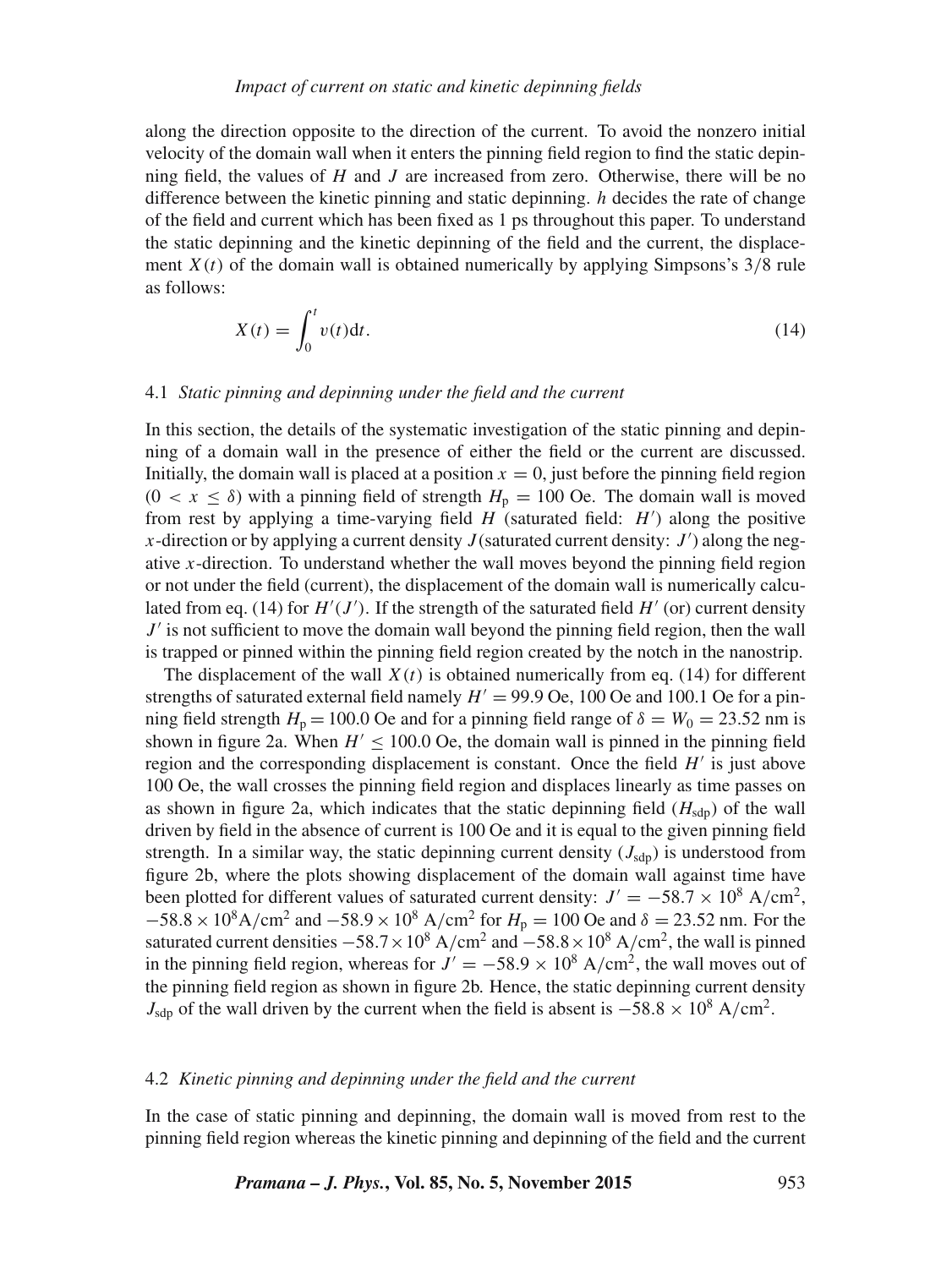along the direction opposite to the direction of the current. To avoid the nonzero initial velocity of the domain wall when it enters the pinning field region to find the static depinning field, the values of  $H$  and  $J$  are increased from zero. Otherwise, there will be no difference between the kinetic pinning and static depinning. h decides the rate of change of the field and current which has been fixed as 1 ps throughout this paper. To understand the static depinning and the kinetic depinning of the field and the current, the displacement  $X(t)$  of the domain wall is obtained numerically by applying Simpsons's  $3/8$  rule as follows:

$$
X(t) = \int_0^t v(t)dt.
$$
\n(14)

#### 4.1 *Static pinning and depinning under the field and the current*

In this section, the details of the systematic investigation of the static pinning and depinning of a domain wall in the presence of either the field or the current are discussed. Initially, the domain wall is placed at a position  $x = 0$ , just before the pinning field region  $(0 < x \le \delta)$  with a pinning field of strength  $H_p = 100$  Oe. The domain wall is moved from rest by applying a time-varying field  $H$  (saturated field:  $H'$ ) along the positive x-direction or by applying a current density  $J$  (saturated current density:  $J'$ ) along the negative x-direction. To understand whether the wall moves beyond the pinning field region or not under the field (current), the displacement of the domain wall is numerically calculated from eq. (14) for  $H'(J')$ . If the strength of the saturated field  $H'$  (or) current density  $J'$  is not sufficient to move the domain wall beyond the pinning field region, then the wall is trapped or pinned within the pinning field region created by the notch in the nanostrip.

The displacement of the wall  $X(t)$  is obtained numerically from eq. (14) for different strengths of saturated external field namely  $H' = 99.9$  Oe, 100 Oe and 100.1 Oe for a pinning field strength  $H_p = 100.0$  Oe and for a pinning field range of  $\delta = W_0 = 23.52$  nm is shown in figure 2a. When  $H' \le 100.0$  Oe, the domain wall is pinned in the pinning field region and the corresponding displacement is constant. Once the field  $H'$  is just above 100 Oe, the wall crosses the pinning field region and displaces linearly as time passes on as shown in figure 2a, which indicates that the static depinning field  $(H_{\text{sdn}})$  of the wall driven by field in the absence of current is 100 Oe and it is equal to the given pinning field strength. In a similar way, the static depinning current density  $(J_{\text{sdp}})$  is understood from figure 2b, where the plots showing displacement of the domain wall against time have been plotted for different values of saturated current density:  $J' = -58.7 \times 10^8$  A/cm<sup>2</sup>,  $-58.8 \times 10^8$  A/cm<sup>2</sup> and  $-58.9 \times 10^8$  A/cm<sup>2</sup> for  $H_p = 100$  Oe and  $\delta = 23.52$  nm. For the saturated current densities  $-58.7 \times 10^8$  A/cm<sup>2</sup> and  $-58.8 \times 10^8$  A/cm<sup>2</sup>, the wall is pinned in the pinning field region, whereas for  $J' = -58.9 \times 10^8$  A/cm<sup>2</sup>, the wall moves out of the pinning field region as shown in figure 2b. Hence, the static depinning current density  $J_{\text{sdp}}$  of the wall driven by the current when the field is absent is  $-58.8 \times 10^8$  A/cm<sup>2</sup>.

#### 4.2 *Kinetic pinning and depinning under the field and the current*

In the case of static pinning and depinning, the domain wall is moved from rest to the pinning field region whereas the kinetic pinning and depinning of the field and the current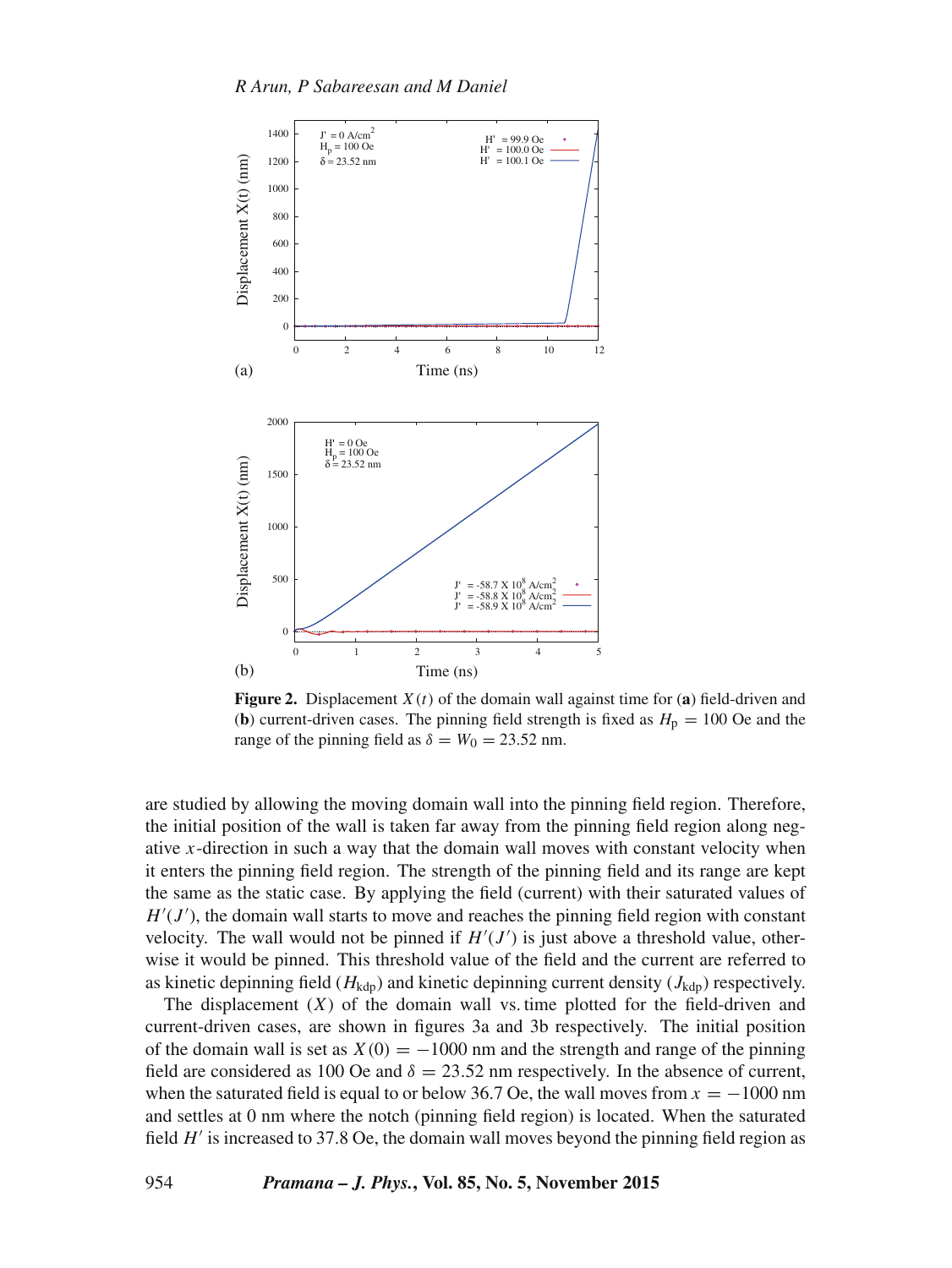

**Figure 2.** Displacement  $X(t)$  of the domain wall against time for (a) field-driven and (**b**) current-driven cases. The pinning field strength is fixed as  $H<sub>p</sub> = 100$  Oe and the range of the pinning field as  $\delta = W_0 = 23.52$  nm.

are studied by allowing the moving domain wall into the pinning field region. Therefore, the initial position of the wall is taken far away from the pinning field region along negative  $x$ -direction in such a way that the domain wall moves with constant velocity when it enters the pinning field region. The strength of the pinning field and its range are kept the same as the static case. By applying the field (current) with their saturated values of  $H'(J')$ , the domain wall starts to move and reaches the pinning field region with constant velocity. The wall would not be pinned if  $H'(J')$  is just above a threshold value, otherwise it would be pinned. This threshold value of the field and the current are referred to as kinetic depinning field ( $H_{\text{kdp}}$ ) and kinetic depinning current density ( $J_{\text{kdp}}$ ) respectively.

The displacement  $(X)$  of the domain wall vs. time plotted for the field-driven and current-driven cases, are shown in figures 3a and 3b respectively. The initial position of the domain wall is set as  $X(0) = -1000$  nm and the strength and range of the pinning field are considered as 100 Oe and  $\delta = 23.52$  nm respectively. In the absence of current, when the saturated field is equal to or below 36.7 Oe, the wall moves from  $x = -1000$  nm and settles at 0 nm where the notch (pinning field region) is located. When the saturated field  $H'$  is increased to 37.8 Oe, the domain wall moves beyond the pinning field region as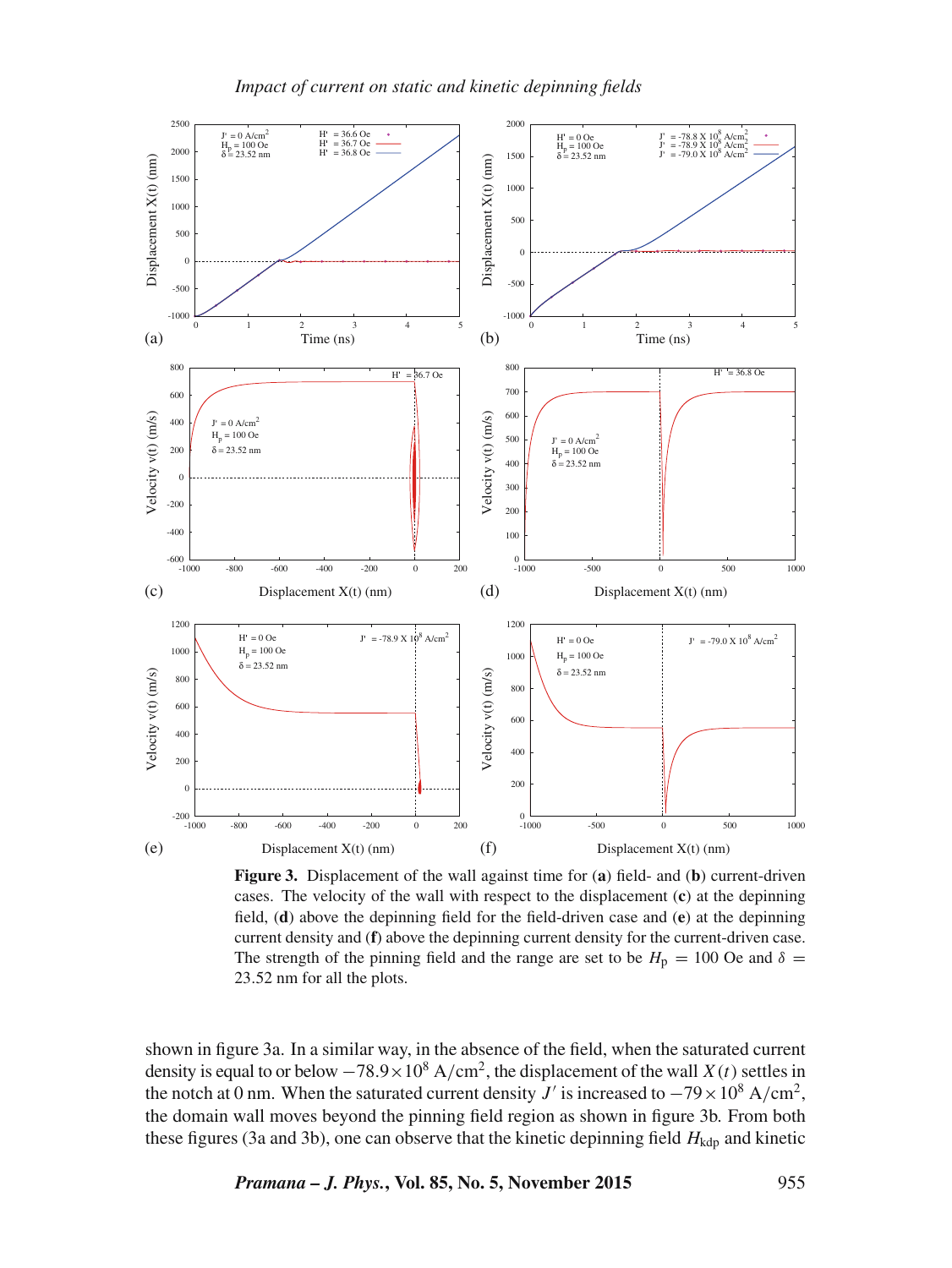

**Figure 3.** Displacement of the wall against time for (**a**) field- and (**b**) current-driven cases. The velocity of the wall with respect to the displacement (**c**) at the depinning field, (**d**) above the depinning field for the field-driven case and (**e**) at the depinning current density and (**f**) above the depinning current density for the current-driven case. The strength of the pinning field and the range are set to be  $H_p = 100$  Oe and  $\delta =$ 23.52 nm for all the plots.

shown in figure 3a. In a similar way, in the absence of the field, when the saturated current density is equal to or below  $-78.9 \times 10^8$  A/cm<sup>2</sup>, the displacement of the wall *X(t)* settles in the notch at 0 nm. When the saturated current density  $J'$  is increased to  $-79 \times 10^8$  A/cm<sup>2</sup>, the domain wall moves beyond the pinning field region as shown in figure 3b. From both these figures (3a and 3b), one can observe that the kinetic depinning field  $H_{\text{kdp}}$  and kinetic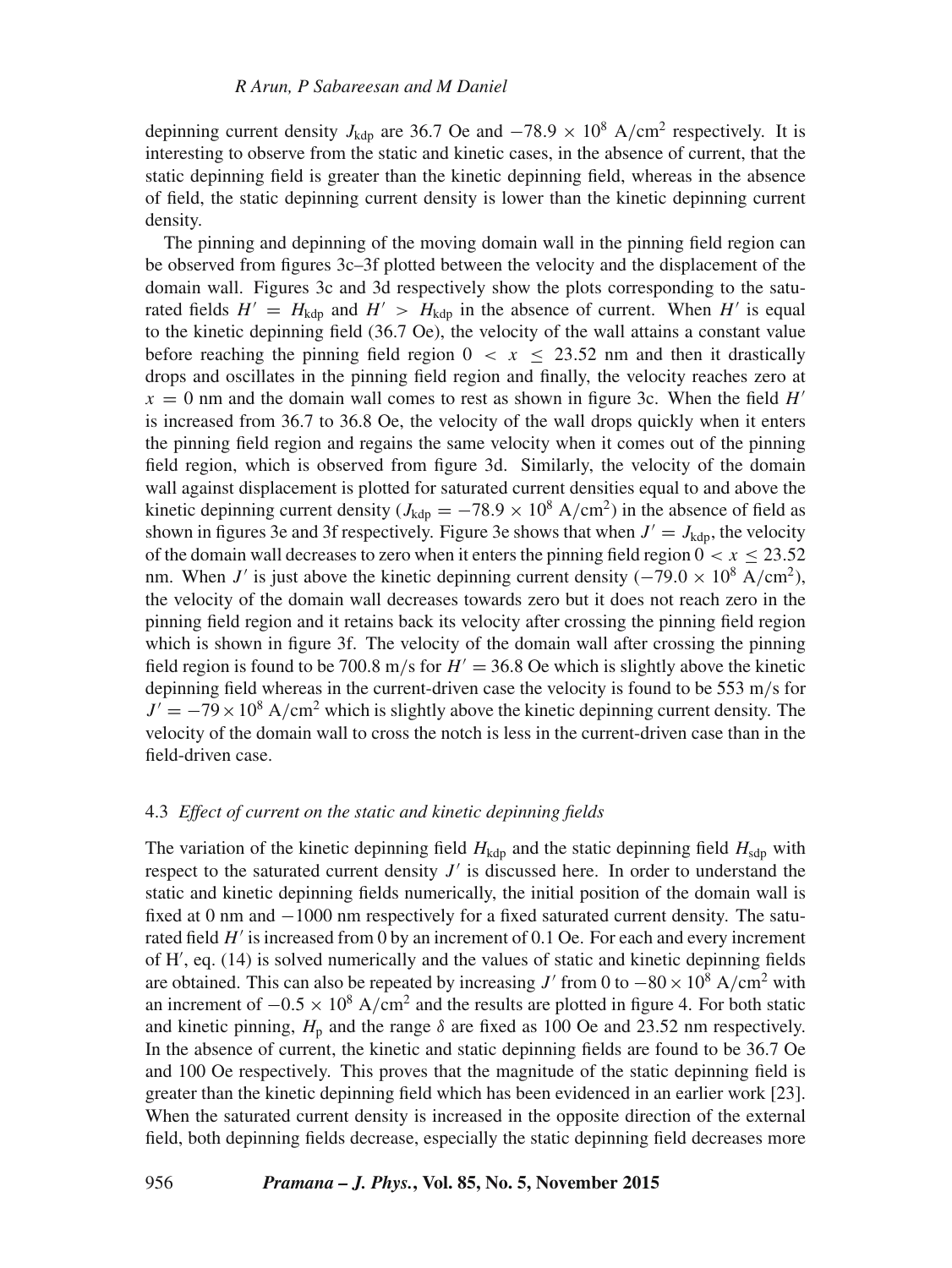depinning current density  $J_{\text{kdp}}$  are 36.7 Oe and  $-78.9 \times 10^8$  A/cm<sup>2</sup> respectively. It is interesting to observe from the static and kinetic cases, in the absence of current, that the static depinning field is greater than the kinetic depinning field, whereas in the absence of field, the static depinning current density is lower than the kinetic depinning current density.

The pinning and depinning of the moving domain wall in the pinning field region can be observed from figures 3c–3f plotted between the velocity and the displacement of the domain wall. Figures 3c and 3d respectively show the plots corresponding to the saturated fields  $H' = H_{\rm kdp}$  and  $H' > H_{\rm kdp}$  in the absence of current. When H' is equal to the kinetic depinning field (36.7 Oe), the velocity of the wall attains a constant value before reaching the pinning field region  $0 \le x \le 23.52$  nm and then it drastically drops and oscillates in the pinning field region and finally, the velocity reaches zero at  $x = 0$  nm and the domain wall comes to rest as shown in figure 3c. When the field  $H'$ is increased from 36.7 to 36.8 Oe, the velocity of the wall drops quickly when it enters the pinning field region and regains the same velocity when it comes out of the pinning field region, which is observed from figure 3d. Similarly, the velocity of the domain wall against displacement is plotted for saturated current densities equal to and above the kinetic depinning current density ( $J_{\text{kdp}} = -78.9 \times 10^8 \text{ A/cm}^2$ ) in the absence of field as shown in figures 3e and 3f respectively. Figure 3e shows that when  $J' = J_{\text{kdp}}$ , the velocity of the domain wall decreases to zero when it enters the pinning field region  $0 < x \le 23.52$ nm. When J' is just above the kinetic depinning current density ( $-79.0 \times 10^8$  A/cm<sup>2</sup>), the velocity of the domain wall decreases towards zero but it does not reach zero in the pinning field region and it retains back its velocity after crossing the pinning field region which is shown in figure 3f. The velocity of the domain wall after crossing the pinning field region is found to be 700.8 m/s for  $H' = 36.8$  Oe which is slightly above the kinetic depinning field whereas in the current-driven case the velocity is found to be 553 m/s for  $J' = -79 \times 10^8$  A/cm<sup>2</sup> which is slightly above the kinetic depinning current density. The velocity of the domain wall to cross the notch is less in the current-driven case than in the field-driven case.

## 4.3 *Effect of current on the static and kinetic depinning fields*

The variation of the kinetic depinning field  $H_{\text{kdp}}$  and the static depinning field  $H_{\text{sdp}}$  with respect to the saturated current density  $J'$  is discussed here. In order to understand the static and kinetic depinning fields numerically, the initial position of the domain wall is fixed at 0 nm and −1000 nm respectively for a fixed saturated current density. The saturated field  $H'$  is increased from 0 by an increment of 0.1 Oe. For each and every increment of H , eq. (14) is solved numerically and the values of static and kinetic depinning fields are obtained. This can also be repeated by increasing  $J'$  from 0 to  $-80 \times 10^8$  A/cm<sup>2</sup> with an increment of  $-0.5 \times 10^8$  A/cm<sup>2</sup> and the results are plotted in figure 4. For both static and kinetic pinning,  $H<sub>p</sub>$  and the range  $\delta$  are fixed as 100 Oe and 23.52 nm respectively. In the absence of current, the kinetic and static depinning fields are found to be 36.7 Oe and 100 Oe respectively. This proves that the magnitude of the static depinning field is greater than the kinetic depinning field which has been evidenced in an earlier work [23]. When the saturated current density is increased in the opposite direction of the external field, both depinning fields decrease, especially the static depinning field decreases more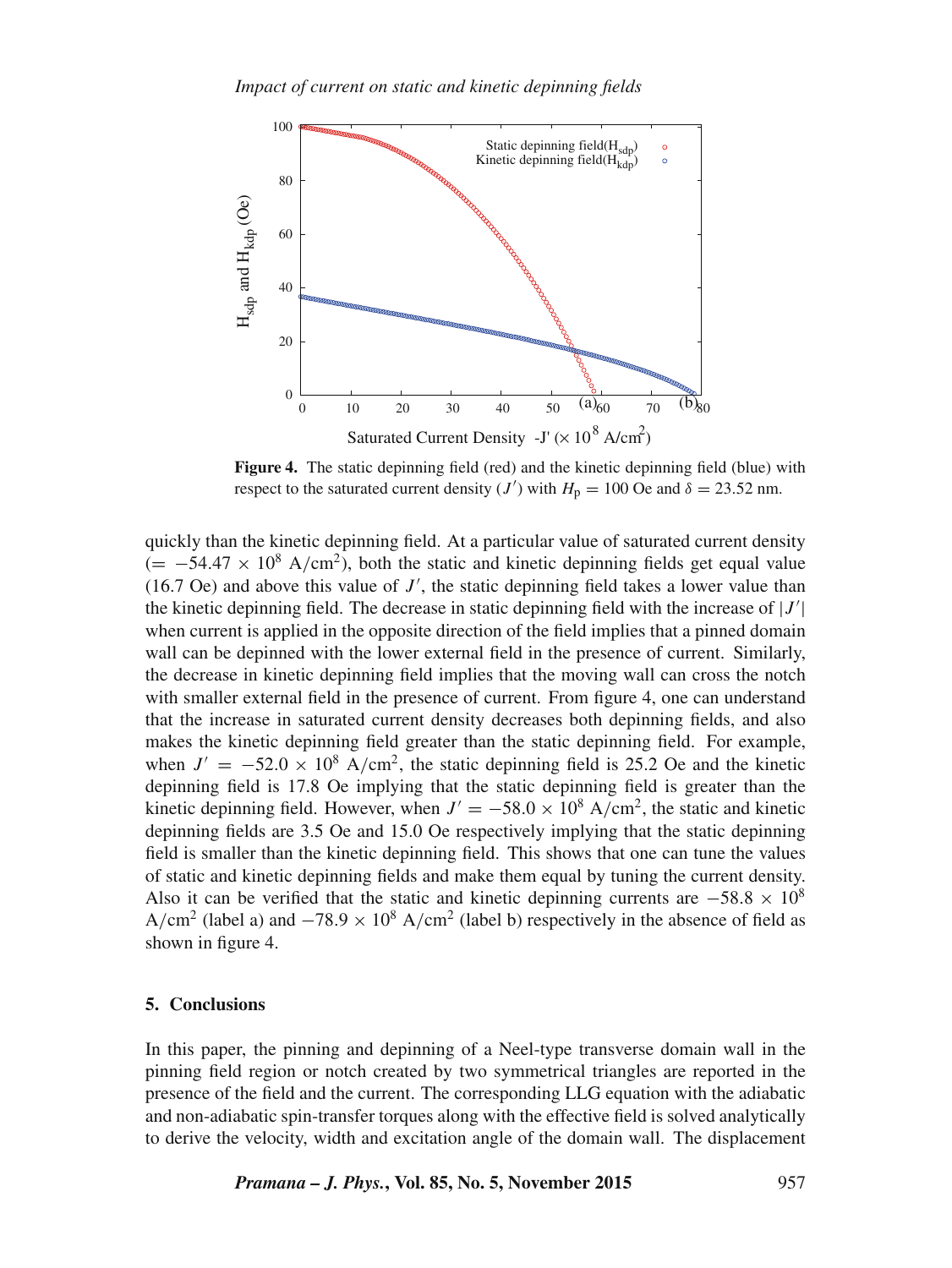

**Figure 4.** The static depinning field (red) and the kinetic depinning field (blue) with respect to the saturated current density (*J'*) with  $H_p = 100$  Oe and  $\delta = 23.52$  nm.

quickly than the kinetic depinning field. At a particular value of saturated current density  $(=-54.47 \times 10^8 \text{ A/cm}^2)$ , both the static and kinetic depinning fields get equal value  $(16.7 \text{ Oe})$  and above this value of J', the static depinning field takes a lower value than the kinetic depinning field. The decrease in static depinning field with the increase of  $|J'|$ when current is applied in the opposite direction of the field implies that a pinned domain wall can be depinned with the lower external field in the presence of current. Similarly, the decrease in kinetic depinning field implies that the moving wall can cross the notch with smaller external field in the presence of current. From figure 4, one can understand that the increase in saturated current density decreases both depinning fields, and also makes the kinetic depinning field greater than the static depinning field. For example, when  $J' = -52.0 \times 10^8$  A/cm<sup>2</sup>, the static depinning field is 25.2 Oe and the kinetic depinning field is 17.8 Oe implying that the static depinning field is greater than the kinetic depinning field. However, when  $J' = -58.0 \times 10^8$  A/cm<sup>2</sup>, the static and kinetic depinning fields are 3.5 Oe and 15.0 Oe respectively implying that the static depinning field is smaller than the kinetic depinning field. This shows that one can tune the values of static and kinetic depinning fields and make them equal by tuning the current density. Also it can be verified that the static and kinetic depinning currents are  $-58.8 \times 10^8$ A/cm<sup>2</sup> (label a) and  $-78.9 \times 10^8$  A/cm<sup>2</sup> (label b) respectively in the absence of field as shown in figure 4.

## **5. Conclusions**

In this paper, the pinning and depinning of a Neel-type transverse domain wall in the pinning field region or notch created by two symmetrical triangles are reported in the presence of the field and the current. The corresponding LLG equation with the adiabatic and non-adiabatic spin-transfer torques along with the effective field is solved analytically to derive the velocity, width and excitation angle of the domain wall. The displacement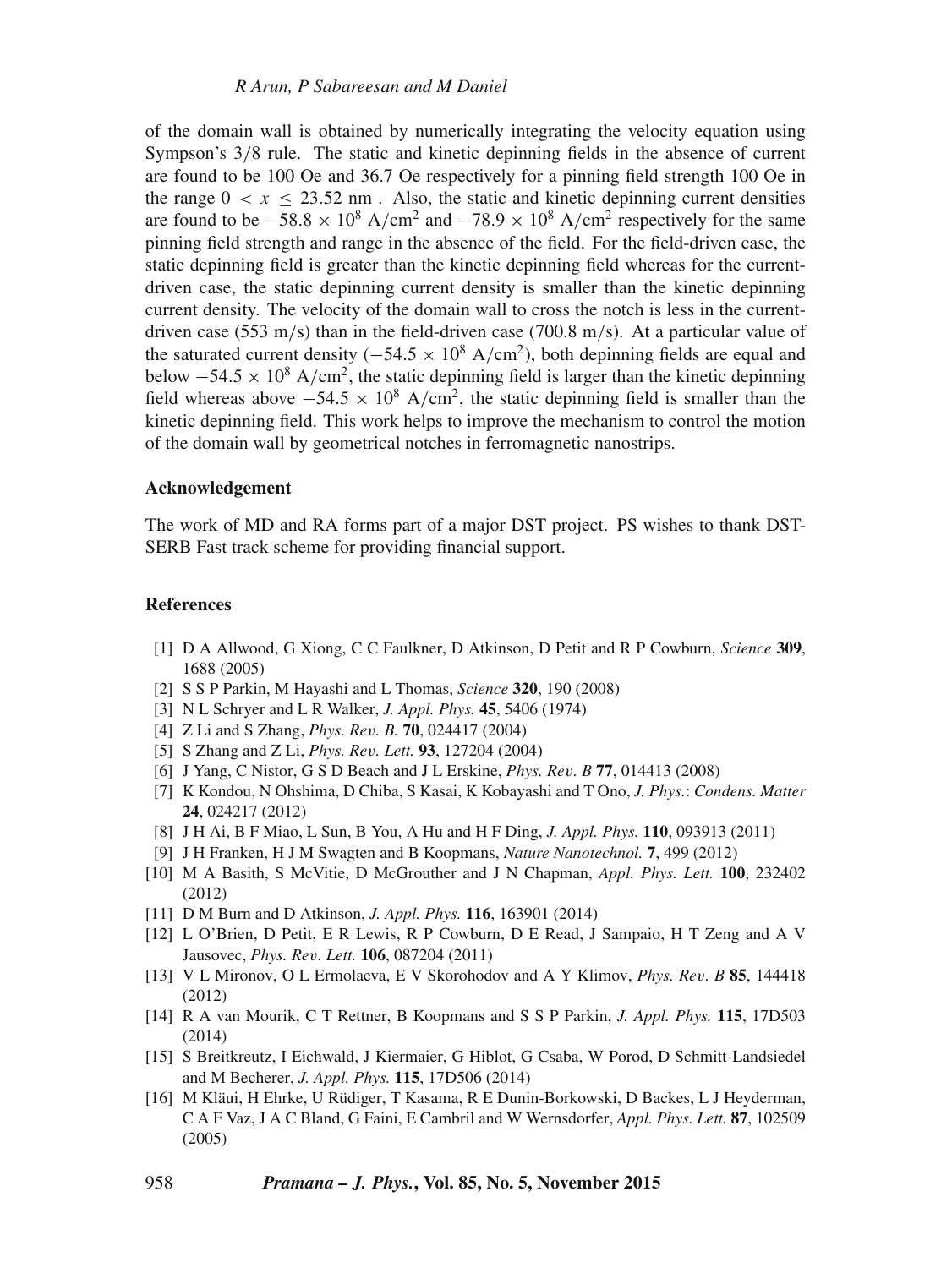of the domain wall is obtained by numerically integrating the velocity equation using Sympson's 3/8 rule. The static and kinetic depinning fields in the absence of current are found to be 100 Oe and 36.7 Oe respectively for a pinning field strength 100 Oe in the range  $0 < x \le 23.52$  nm. Also, the static and kinetic depinning current densities are found to be  $-58.8 \times 10^8$  A/cm<sup>2</sup> and  $-78.9 \times 10^8$  A/cm<sup>2</sup> respectively for the same pinning field strength and range in the absence of the field. For the field-driven case, the static depinning field is greater than the kinetic depinning field whereas for the currentdriven case, the static depinning current density is smaller than the kinetic depinning current density. The velocity of the domain wall to cross the notch is less in the currentdriven case (553 m/s) than in the field-driven case (700.8 m/s). At a particular value of the saturated current density ( $-54.5 \times 10^8$  A/cm<sup>2</sup>), both depinning fields are equal and below  $-54.5 \times 10^8$  A/cm<sup>2</sup>, the static depinning field is larger than the kinetic depinning field whereas above  $-54.5 \times 10^8$  A/cm<sup>2</sup>, the static depinning field is smaller than the kinetic depinning field. This work helps to improve the mechanism to control the motion of the domain wall by geometrical notches in ferromagnetic nanostrips.

## **Acknowledgement**

The work of MD and RA forms part of a major DST project. PS wishes to thank DST-SERB Fast track scheme for providing financial support.

#### **References**

- [1] D A Allwood, G Xiong, C C Faulkner, D Atkinson, D Petit and R P Cowburn, *Science* **309**, 1688 (2005)
- [2] S S P Parkin, M Hayashi and L Thomas, *Science* **320**, 190 (2008)
- [3] N L Schryer and L R Walker, *J. Appl. Phys.* **45**, 5406 (1974)
- [4] Z Li and S Zhang, *Phys. Re*v*. B.* **70**, 024417 (2004)
- [5] S Zhang and Z Li, *Phys. Re*v*. Lett.* **93**, 127204 (2004)
- [6] J Yang, C Nistor, G S D Beach and J L Erskine, *Phys. Re*v*. B* **77**, 014413 (2008)
- [7] K Kondou, N Ohshima, D Chiba, S Kasai, K Kobayashi and T Ono, *J. Phys.*: *Condens. Matter* **24**, 024217 (2012)
- [8] J H Ai, B F Miao, L Sun, B You, A Hu and H F Ding, *J. Appl. Phys.* **110**, 093913 (2011)
- [9] J H Franken, H J M Swagten and B Koopmans, *Nature Nanotechnol.* **7**, 499 (2012)
- [10] M A Basith, S McVitie, D McGrouther and J N Chapman, *Appl. Phys. Lett.* **100**, 232402 (2012)
- [11] D M Burn and D Atkinson, *J. Appl. Phys.* **116**, 163901 (2014)
- [12] L O'Brien, D Petit, E R Lewis, R P Cowburn, D E Read, J Sampaio, H T Zeng and A V Jausovec, *Phys. Re*v*. Lett.* **106**, 087204 (2011)
- [13] V L Mironov, O L Ermolaeva, E V Skorohodov and A Y Klimov, *Phys. Re*v*. B* **85**, 144418 (2012)
- [14] R A van Mourik, C T Rettner, B Koopmans and S S P Parkin, *J. Appl. Phys.* **115**, 17D503 (2014)
- [15] S Breitkreutz, I Eichwald, J Kiermaier, G Hiblot, G Csaba, W Porod, D Schmitt-Landsiedel and M Becherer, *J. Appl. Phys.* **115**, 17D506 (2014)
- [16] M Kläui, H Ehrke, U Rüdiger, T Kasama, R E Dunin-Borkowski, D Backes, L J Heyderman, C A F Vaz, J A C Bland, G Faini, E Cambril and W Wernsdorfer, *Appl. Phys. Lett.* **87**, 102509 (2005)